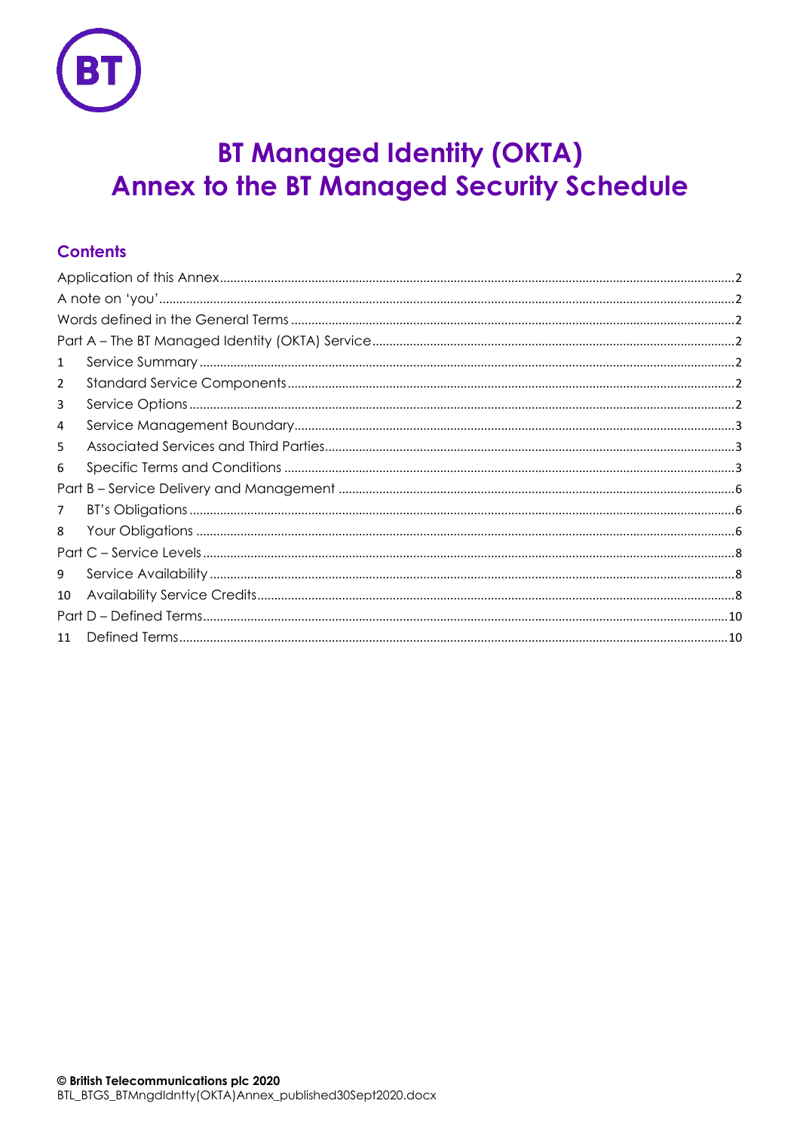

# **BT Managed Identity (OKTA) Annex to the BT Managed Security Schedule**

# **Contents**

| $\mathbf{1}$<br>2<br>3<br>4<br>5<br>6<br>7<br>8<br>9<br>10<br>11 |  |  |  |  |  |  |  |
|------------------------------------------------------------------|--|--|--|--|--|--|--|
|                                                                  |  |  |  |  |  |  |  |
|                                                                  |  |  |  |  |  |  |  |
|                                                                  |  |  |  |  |  |  |  |
|                                                                  |  |  |  |  |  |  |  |
|                                                                  |  |  |  |  |  |  |  |
|                                                                  |  |  |  |  |  |  |  |
|                                                                  |  |  |  |  |  |  |  |
|                                                                  |  |  |  |  |  |  |  |
|                                                                  |  |  |  |  |  |  |  |
|                                                                  |  |  |  |  |  |  |  |
|                                                                  |  |  |  |  |  |  |  |
|                                                                  |  |  |  |  |  |  |  |
|                                                                  |  |  |  |  |  |  |  |
|                                                                  |  |  |  |  |  |  |  |
|                                                                  |  |  |  |  |  |  |  |
|                                                                  |  |  |  |  |  |  |  |
|                                                                  |  |  |  |  |  |  |  |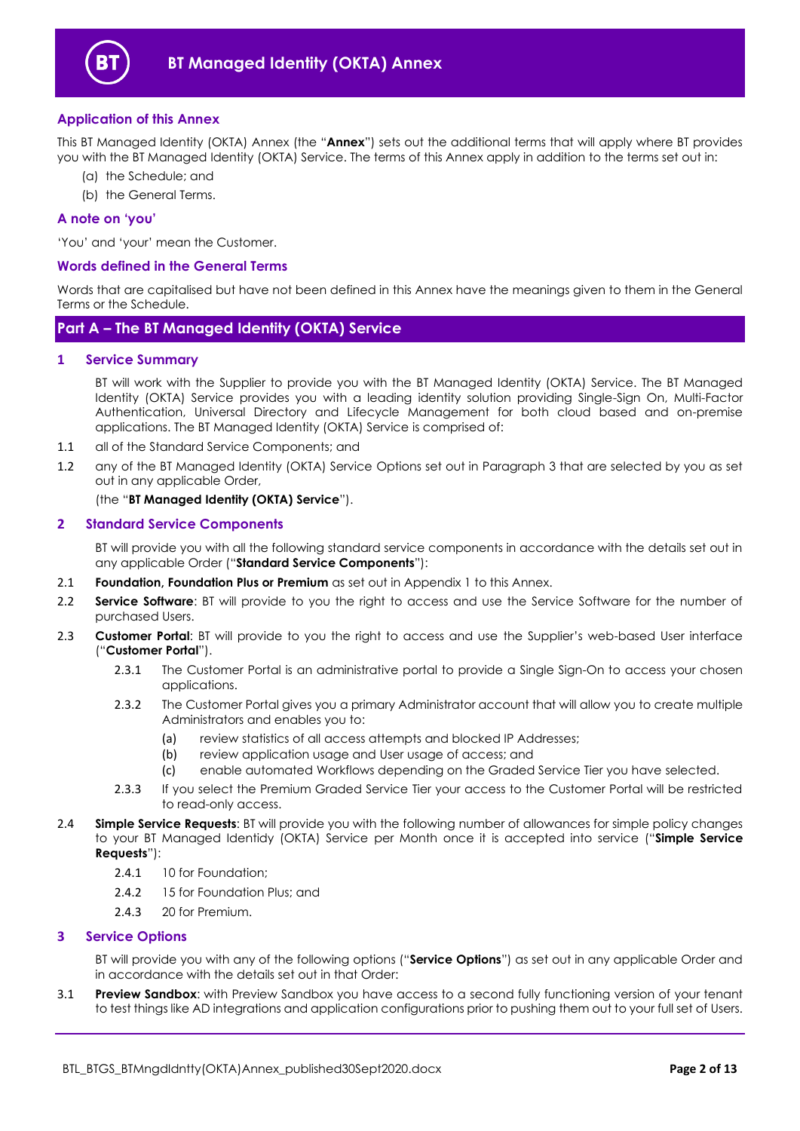

## <span id="page-1-0"></span>**Application of this Annex**

This BT Managed Identity (OKTA) Annex (the "**Annex**") sets out the additional terms that will apply where BT provides you with the BT Managed Identity (OKTA) Service. The terms of this Annex apply in addition to the terms set out in:

- (a) the Schedule; and
- (b) the General Terms.

#### <span id="page-1-1"></span>**A note on 'you'**

'You' and 'your' mean the Customer.

#### <span id="page-1-2"></span>**Words defined in the General Terms**

Words that are capitalised but have not been defined in this Annex have the meanings given to them in the General Terms or the Schedule.

# <span id="page-1-3"></span>**Part A – The BT Managed Identity (OKTA) Service**

#### <span id="page-1-4"></span>**1 Service Summary**

BT will work with the Supplier to provide you with the BT Managed Identity (OKTA) Service. The BT Managed Identity (OKTA) Service provides you with a leading identity solution providing Single-Sign On, Multi-Factor Authentication, Universal Directory and Lifecycle Management for both cloud based and on-premise applications. The BT Managed Identity (OKTA) Service is comprised of:

- 1.1 all of the Standard Service Components; and
- 1.2 any of the BT Managed Identity (OKTA) Service Options set out in Paragraph [3](#page-1-6) that are selected by you as set out in any applicable Order,

(the "**BT Managed Identity (OKTA) Service**").

#### <span id="page-1-5"></span>**2 Standard Service Components**

BT will provide you with all the following standard service components in accordance with the details set out in any applicable Order ("**Standard Service Components**"):

- 2.1 **Foundation, Foundation Plus or Premium** as set out in Appendix 1 to this Annex.
- 2.2 **Service Software**: BT will provide to you the right to access and use the Service Software for the number of purchased Users.
- <span id="page-1-7"></span>2.3 **Customer Portal**: BT will provide to you the right to access and use the Supplier's web-based User interface ("**Customer Portal**").
	- 2.3.1 The Customer Portal is an administrative portal to provide a Single Sign-On to access your chosen applications.
	- 2.3.2 The Customer Portal gives you a primary Administrator account that will allow you to create multiple Administrators and enables you to:
		- (a) review statistics of all access attempts and blocked IP Addresses;
		- (b) review application usage and User usage of access; and
		- (c) enable automated Workflows depending on the Graded Service Tier you have selected.
	- 2.3.3 If you select the Premium Graded Service Tier your access to the Customer Portal will be restricted to read-only access.
- <span id="page-1-8"></span>2.4 **Simple Service Requests**: BT will provide you with the following number of allowances for simple policy changes to your BT Managed Identidy (OKTA) Service per Month once it is accepted into service ("**Simple Service Requests**"):
	- 2.4.1 10 for Foundation;
	- 2.4.2 15 for Foundation Plus; and
	- 2.4.3 20 for Premium.

# <span id="page-1-6"></span>**3 Service Options**

BT will provide you with any of the following options ("**Service Options**") as set out in any applicable Order and in accordance with the details set out in that Order:

3.1 **Preview Sandbox**: with Preview Sandbox you have access to a second fully functioning version of your tenant to test things like AD integrations and application configurations prior to pushing them out to your full set of Users.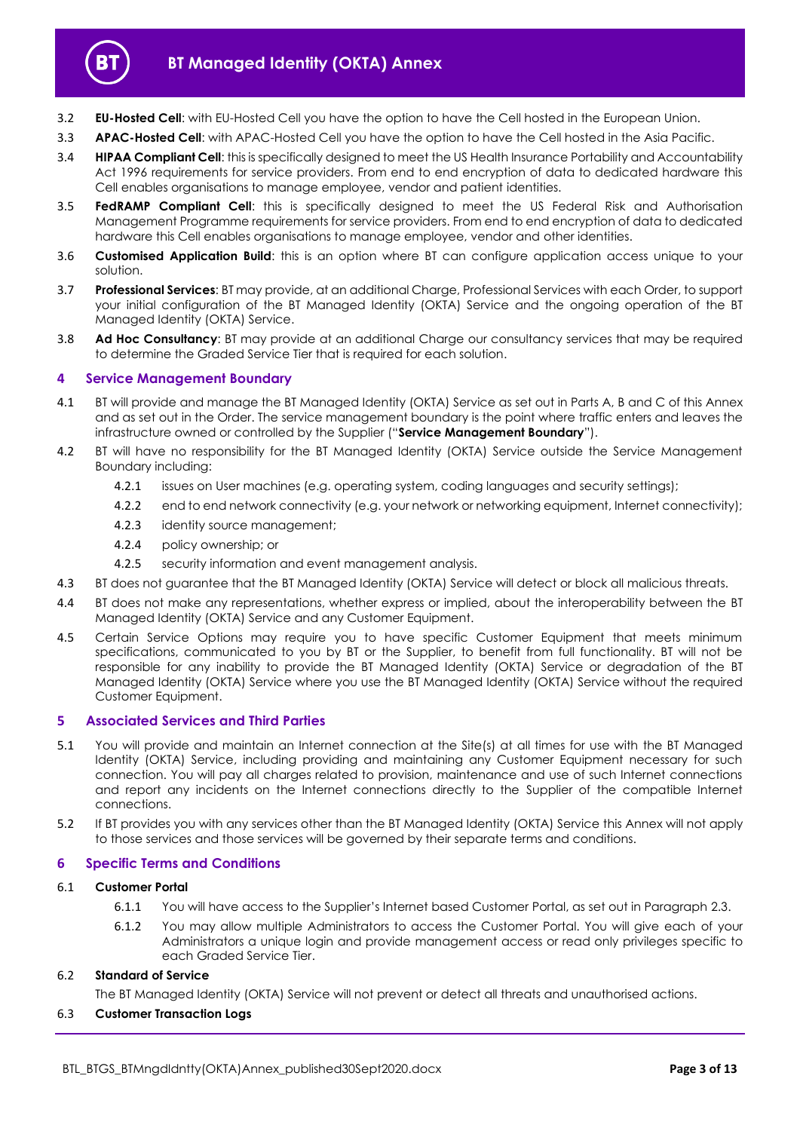

- 3.2 **EU-Hosted Cell**: with EU-Hosted Cell you have the option to have the Cell hosted in the European Union.
- 3.3 **APAC-Hosted Cell**: with APAC-Hosted Cell you have the option to have the Cell hosted in the Asia Pacific.
- 3.4 **HIPAA Compliant Cell**: this is specifically designed to meet the US Health Insurance Portability and Accountability Act 1996 requirements for service providers. From end to end encryption of data to dedicated hardware this Cell enables organisations to manage employee, vendor and patient identities.
- 3.5 **FedRAMP Compliant Cell**: this is specifically designed to meet the US Federal Risk and Authorisation Management Programme requirements for service providers. From end to end encryption of data to dedicated hardware this Cell enables organisations to manage employee, vendor and other identities.
- 3.6 **Customised Application Build**: this is an option where BT can configure application access unique to your solution.
- 3.7 **Professional Services**: BT may provide, at an additional Charge, Professional Services with each Order, to support your initial configuration of the BT Managed Identity (OKTA) Service and the ongoing operation of the BT Managed Identity (OKTA) Service.
- 3.8 **Ad Hoc Consultancy**: BT may provide at an additional Charge our consultancy services that may be required to determine the Graded Service Tier that is required for each solution.

# <span id="page-2-0"></span>**4 Service Management Boundary**

- <span id="page-2-3"></span>4.1 BT will provide and manage the BT Managed Identity (OKTA) Service as set out in Parts A, B and C of this Annex and as set out in the Order. The service management boundary is the point where traffic enters and leaves the infrastructure owned or controlled by the Supplier ("**Service Management Boundary**").
- 4.2 BT will have no responsibility for the BT Managed Identity (OKTA) Service outside the Service Management Boundary including:
	- 4.2.1 issues on User machines (e.g. operating system, coding languages and security settings);
	- 4.2.2 end to end network connectivity (e.g. your network or networking equipment, Internet connectivity);
	- 4.2.3 identity source management;
	- 4.2.4 policy ownership; or
	- 4.2.5 security information and event management analysis.
- 4.3 BT does not guarantee that the BT Managed Identity (OKTA) Service will detect or block all malicious threats.
- 4.4 BT does not make any representations, whether express or implied, about the interoperability between the BT Managed Identity (OKTA) Service and any Customer Equipment.
- 4.5 Certain Service Options may require you to have specific Customer Equipment that meets minimum specifications, communicated to you by BT or the Supplier, to benefit from full functionality. BT will not be responsible for any inability to provide the BT Managed Identity (OKTA) Service or degradation of the BT Managed Identity (OKTA) Service where you use the BT Managed Identity (OKTA) Service without the required Customer Equipment.

# <span id="page-2-1"></span>**5 Associated Services and Third Parties**

- 5.1 You will provide and maintain an Internet connection at the Site(s) at all times for use with the BT Managed Identity (OKTA) Service, including providing and maintaining any Customer Equipment necessary for such connection. You will pay all charges related to provision, maintenance and use of such Internet connections and report any incidents on the Internet connections directly to the Supplier of the compatible Internet connections.
- 5.2 If BT provides you with any services other than the BT Managed Identity (OKTA) Service this Annex will not apply to those services and those services will be governed by their separate terms and conditions.

# <span id="page-2-2"></span>**6 Specific Terms and Conditions**

#### 6.1 **Customer Portal**

- 6.1.1 You will have access to the Supplier's Internet based Customer Portal, as set out in Paragraph [2.3.](#page-1-7)
- 6.1.2 You may allow multiple Administrators to access the Customer Portal. You will give each of your Administrators a unique login and provide management access or read only privileges specific to each Graded Service Tier.

#### 6.2 **Standard of Service**

The BT Managed Identity (OKTA) Service will not prevent or detect all threats and unauthorised actions.

#### 6.3 **Customer Transaction Logs**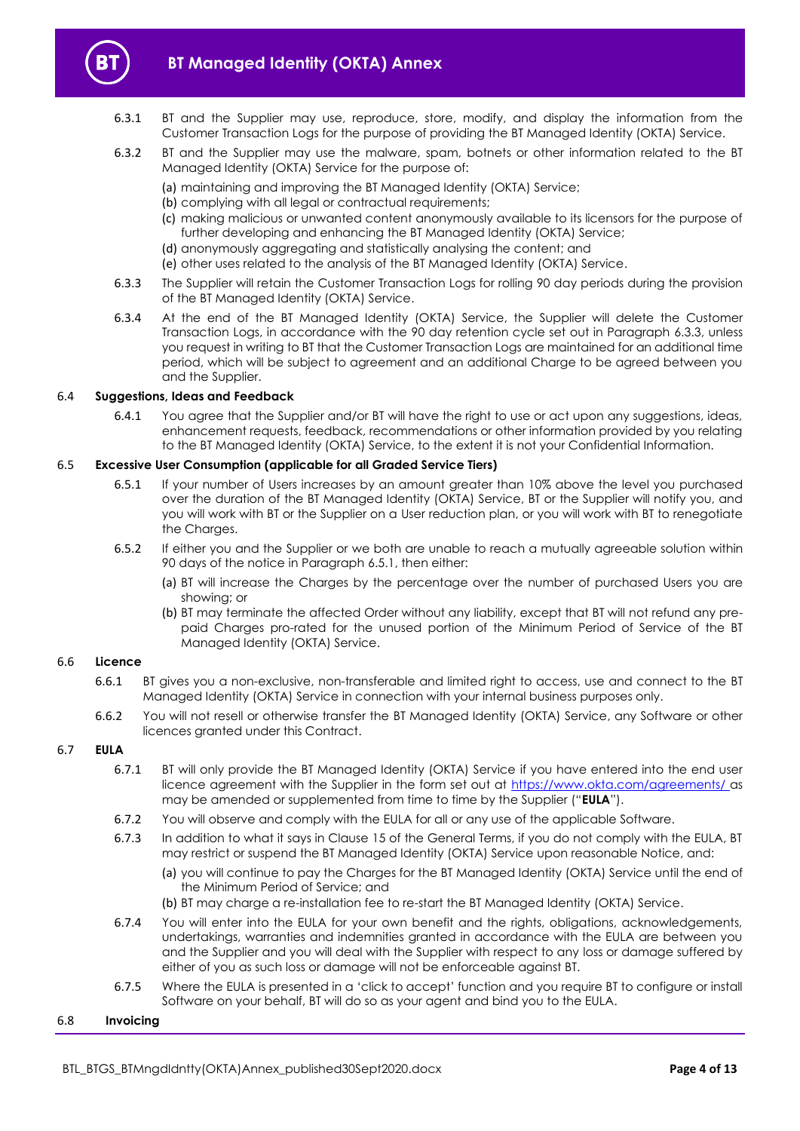

- 6.3.1 BT and the Supplier may use, reproduce, store, modify, and display the information from the Customer Transaction Logs for the purpose of providing the BT Managed Identity (OKTA) Service.
- 6.3.2 BT and the Supplier may use the malware, spam, botnets or other information related to the BT Managed Identity (OKTA) Service for the purpose of:
	- (a) maintaining and improving the BT Managed Identity (OKTA) Service;
	- (b) complying with all legal or contractual requirements;
	- (c) making malicious or unwanted content anonymously available to its licensors for the purpose of further developing and enhancing the BT Managed Identity (OKTA) Service;
	- (d) anonymously aggregating and statistically analysing the content; and
	- (e) other uses related to the analysis of the BT Managed Identity (OKTA) Service.
- <span id="page-3-0"></span>6.3.3 The Supplier will retain the Customer Transaction Logs for rolling 90 day periods during the provision of the BT Managed Identity (OKTA) Service.
- 6.3.4 At the end of the BT Managed Identity (OKTA) Service, the Supplier will delete the Customer Transaction Logs, in accordance with the 90 day retention cycle set out in Paragraph [6.3.3,](#page-3-0) unless you request in writing to BT that the Customer Transaction Logs are maintained for an additional time period, which will be subject to agreement and an additional Charge to be agreed between you and the Supplier.

#### 6.4 **Suggestions, Ideas and Feedback**

6.4.1 You agree that the Supplier and/or BT will have the right to use or act upon any suggestions, ideas, enhancement requests, feedback, recommendations or other information provided by you relating to the BT Managed Identity (OKTA) Service, to the extent it is not your Confidential Information.

#### <span id="page-3-1"></span>6.5 **Excessive User Consumption (applicable for all Graded Service Tiers)**

- 6.5.1 If your number of Users increases by an amount greater than 10% above the level you purchased over the duration of the BT Managed Identity (OKTA) Service, BT or the Supplier will notify you, and you will work with BT or the Supplier on a User reduction plan, or you will work with BT to renegotiate the Charges.
- 6.5.2 If either you and the Supplier or we both are unable to reach a mutually agreeable solution within 90 days of the notice in Paragrap[h 6.5.1,](#page-3-1) then either:
	- (a) BT will increase the Charges by the percentage over the number of purchased Users you are showing; or
	- (b) BT may terminate the affected Order without any liability, except that BT will not refund any prepaid Charges pro-rated for the unused portion of the Minimum Period of Service of the BT Managed Identity (OKTA) Service.

#### 6.6 **Licence**

- 6.6.1 BT gives you a non-exclusive, non-transferable and limited right to access, use and connect to the BT Managed Identity (OKTA) Service in connection with your internal business purposes only.
- 6.6.2 You will not resell or otherwise transfer the BT Managed Identity (OKTA) Service, any Software or other licences granted under this Contract.

#### <span id="page-3-2"></span>6.7 **EULA**

- 6.7.1 BT will only provide the BT Managed Identity (OKTA) Service if you have entered into the end user licence agreement with the Supplier in the form set out at<https://www.okta.com/agreements/> as may be amended or supplemented from time to time by the Supplier ("**EULA**").
- 6.7.2 You will observe and comply with the EULA for all or any use of the applicable Software.
- 6.7.3 In addition to what it says in Clause 15 of the General Terms, if you do not comply with the EULA, BT may restrict or suspend the BT Managed Identity (OKTA) Service upon reasonable Notice, and:
	- (a) you will continue to pay the Charges for the BT Managed Identity (OKTA) Service until the end of the Minimum Period of Service; and
	- (b) BT may charge a re-installation fee to re-start the BT Managed Identity (OKTA) Service.
- 6.7.4 You will enter into the EULA for your own benefit and the rights, obligations, acknowledgements, undertakings, warranties and indemnities granted in accordance with the EULA are between you and the Supplier and you will deal with the Supplier with respect to any loss or damage suffered by either of you as such loss or damage will not be enforceable against BT.
- 6.7.5 Where the EULA is presented in a 'click to accept' function and you require BT to configure or install Software on your behalf, BT will do so as your agent and bind you to the EULA.

#### 6.8 **Invoicing**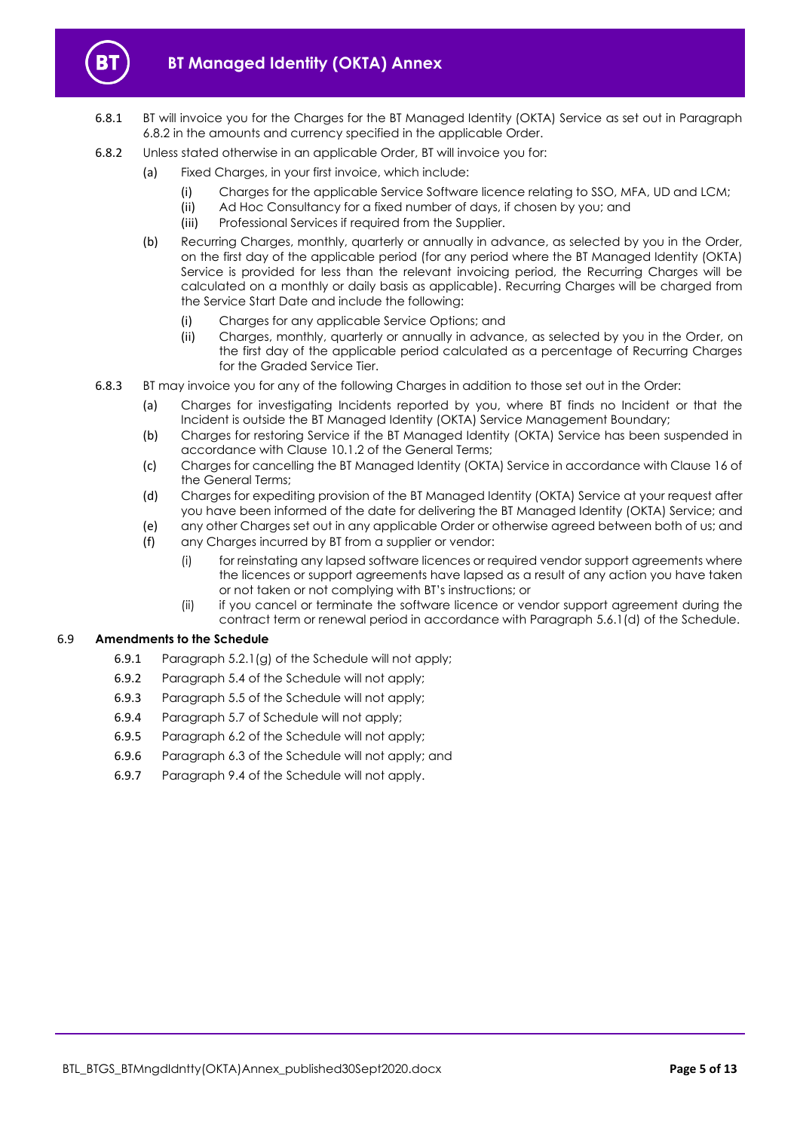

- 6.8.1 BT will invoice you for the Charges for the BT Managed Identity (OKTA) Service as set out in Paragraph [6.8.2](#page-4-0) in the amounts and currency specified in the applicable Order.
- <span id="page-4-0"></span>6.8.2 Unless stated otherwise in an applicable Order, BT will invoice you for:
	- (a) Fixed Charges, in your first invoice, which include:
		- (i) Charges for the applicable Service Software licence relating to SSO, MFA, UD and LCM;
		- (ii) Ad Hoc Consultancy for a fixed number of days, if chosen by you; and
		- (iii) Professional Services if required from the Supplier.
	- (b) Recurring Charges, monthly, quarterly or annually in advance, as selected by you in the Order, on the first day of the applicable period (for any period where the BT Managed Identity (OKTA) Service is provided for less than the relevant invoicing period, the Recurring Charges will be calculated on a monthly or daily basis as applicable). Recurring Charges will be charged from the Service Start Date and include the following:
		- (i) Charges for any applicable Service Options; and
		- (ii) Charges, monthly, quarterly or annually in advance, as selected by you in the Order, on the first day of the applicable period calculated as a percentage of Recurring Charges for the Graded Service Tier.
- 6.8.3 BT may invoice you for any of the following Charges in addition to those set out in the Order:
	- (a) Charges for investigating Incidents reported by you, where BT finds no Incident or that the Incident is outside the BT Managed Identity (OKTA) Service Management Boundary;
	- (b) Charges for restoring Service if the BT Managed Identity (OKTA) Service has been suspended in accordance with Clause 10.1.2 of the General Terms;
	- (c) Charges for cancelling the BT Managed Identity (OKTA) Service in accordance with Clause 16 of the General Terms;
	- (d) Charges for expediting provision of the BT Managed Identity (OKTA) Service at your request after you have been informed of the date for delivering the BT Managed Identity (OKTA) Service; and
	- (e) any other Charges set out in any applicable Order or otherwise agreed between both of us; and
	- (f) any Charges incurred by BT from a supplier or vendor:
		- (i) for reinstating any lapsed software licences or required vendor support agreements where the licences or support agreements have lapsed as a result of any action you have taken or not taken or not complying with BT's instructions; or
		- (ii) if you cancel or terminate the software licence or vendor support agreement during the contract term or renewal period in accordance with Paragraph 5.6.1(d) of the Schedule.

#### 6.9 **Amendments to the Schedule**

- 6.9.1 Paragraph 5.2.1(g) of the Schedule will not apply;
- 6.9.2 Paragraph 5.4 of the Schedule will not apply;
- 6.9.3 Paragraph 5.5 of the Schedule will not apply;
- 6.9.4 Paragraph 5.7 of Schedule will not apply;
- 6.9.5 Paragraph 6.2 of the Schedule will not apply;
- 6.9.6 Paragraph 6.3 of the Schedule will not apply; and
- 6.9.7 Paragraph 9.4 of the Schedule will not apply.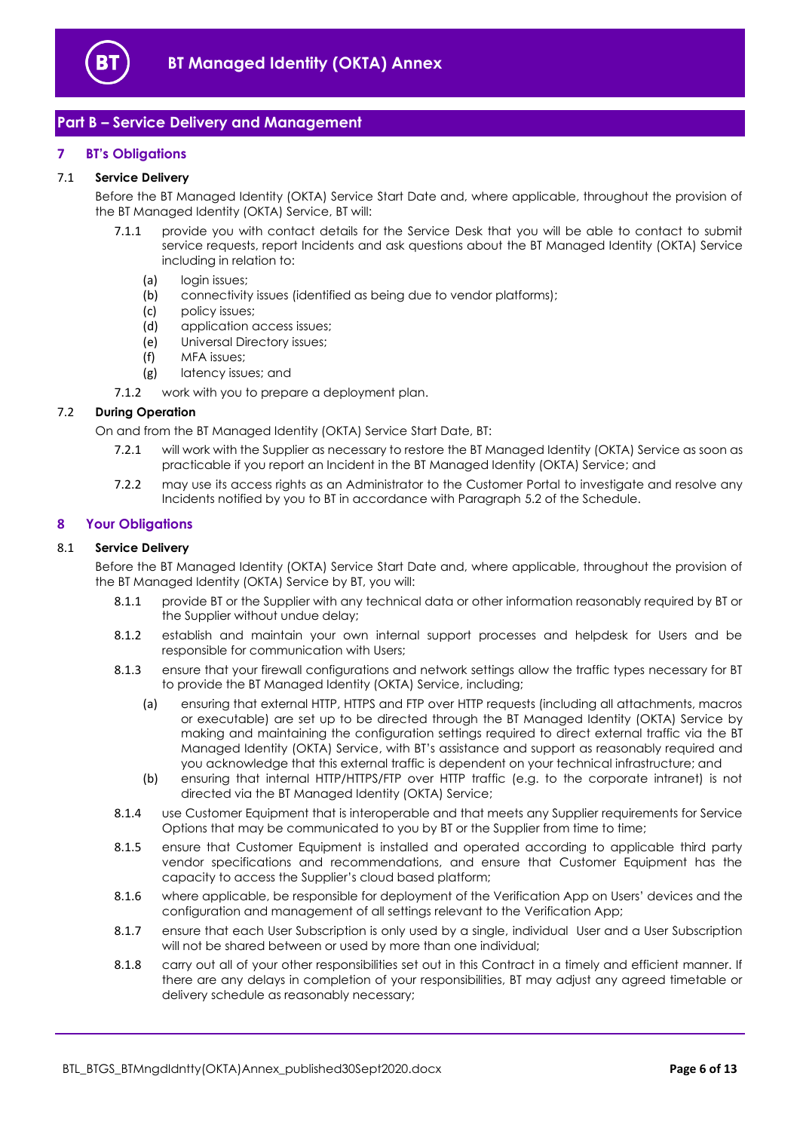

# <span id="page-5-0"></span>**Part B – Service Delivery and Management**

# <span id="page-5-1"></span>**7 BT's Obligations**

#### 7.1 **Service Delivery**

Before the BT Managed Identity (OKTA) Service Start Date and, where applicable, throughout the provision of the BT Managed Identity (OKTA) Service, BT will:

- 7.1.1 provide you with contact details for the Service Desk that you will be able to contact to submit service requests, report Incidents and ask questions about the BT Managed Identity (OKTA) Service including in relation to:
	- (a) login issues;
	- (b) connectivity issues (identified as being due to vendor platforms);
	- (c) policy issues;
	- (d) application access issues;
	- (e) Universal Directory issues;
	- (f) MFA issues;
	- (g) latency issues; and
- 7.1.2 work with you to prepare a deployment plan.

#### 7.2 **During Operation**

On and from the BT Managed Identity (OKTA) Service Start Date, BT:

- 7.2.1 will work with the Supplier as necessary to restore the BT Managed Identity (OKTA) Service as soon as practicable if you report an Incident in the BT Managed Identity (OKTA) Service; and
- 7.2.2 may use its access rights as an Administrator to the Customer Portal to investigate and resolve any Incidents notified by you to BT in accordance with Paragraph 5.2 of the Schedule.

# <span id="page-5-2"></span>**8 Your Obligations**

#### 8.1 **Service Delivery**

Before the BT Managed Identity (OKTA) Service Start Date and, where applicable, throughout the provision of the BT Managed Identity (OKTA) Service by BT, you will:

- 8.1.1 provide BT or the Supplier with any technical data or other information reasonably required by BT or the Supplier without undue delay;
- 8.1.2 establish and maintain your own internal support processes and helpdesk for Users and be responsible for communication with Users;
- 8.1.3 ensure that your firewall configurations and network settings allow the traffic types necessary for BT to provide the BT Managed Identity (OKTA) Service, including;
	- (a) ensuring that external HTTP, HTTPS and FTP over HTTP requests (including all attachments, macros or executable) are set up to be directed through the BT Managed Identity (OKTA) Service by making and maintaining the configuration settings required to direct external traffic via the BT Managed Identity (OKTA) Service, with BT's assistance and support as reasonably required and you acknowledge that this external traffic is dependent on your technical infrastructure; and
	- (b) ensuring that internal HTTP/HTTPS/FTP over HTTP traffic (e.g. to the corporate intranet) is not directed via the BT Managed Identity (OKTA) Service;
- 8.1.4 use Customer Equipment that is interoperable and that meets any Supplier requirements for Service Options that may be communicated to you by BT or the Supplier from time to time;
- 8.1.5 ensure that Customer Equipment is installed and operated according to applicable third party vendor specifications and recommendations, and ensure that Customer Equipment has the capacity to access the Supplier's cloud based platform;
- 8.1.6 where applicable, be responsible for deployment of the Verification App on Users' devices and the configuration and management of all settings relevant to the Verification App;
- 8.1.7 ensure that each User Subscription is only used by a single, individual User and a User Subscription will not be shared between or used by more than one individual;
- 8.1.8 carry out all of your other responsibilities set out in this Contract in a timely and efficient manner. If there are any delays in completion of your responsibilities, BT may adjust any agreed timetable or delivery schedule as reasonably necessary;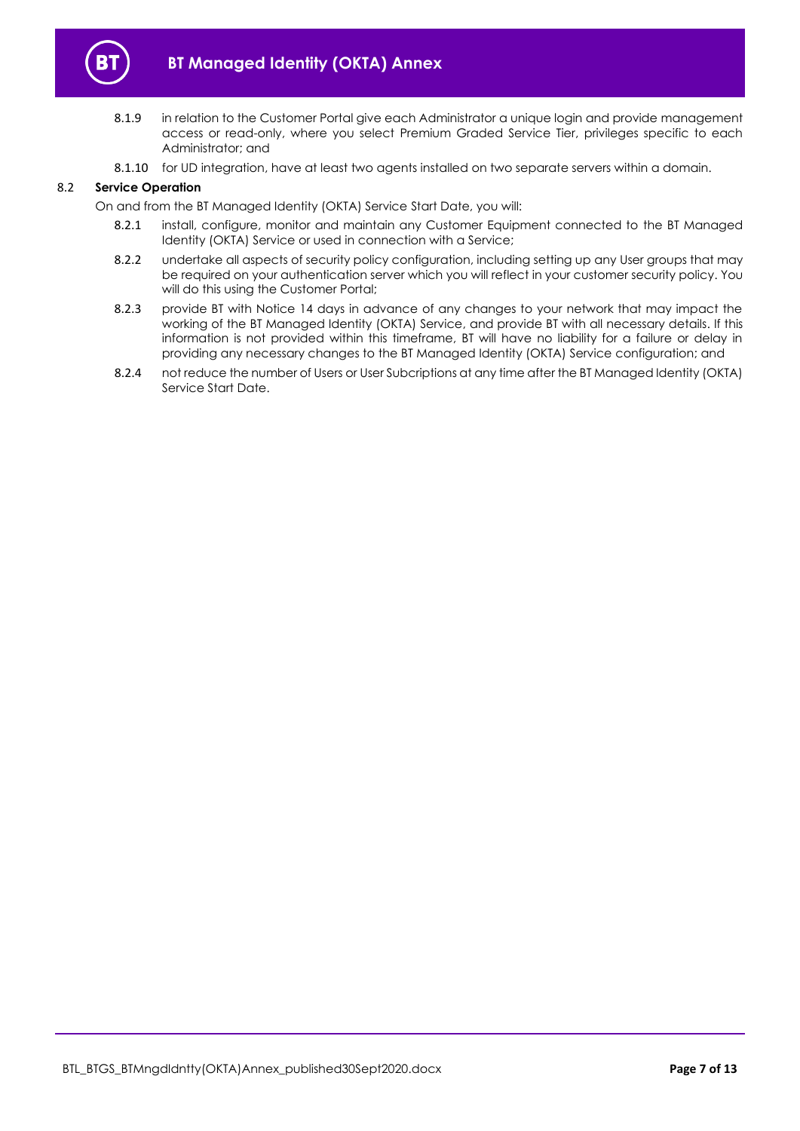

- 8.1.9 in relation to the Customer Portal give each Administrator a unique login and provide management access or read-only, where you select Premium Graded Service Tier, privileges specific to each Administrator; and
- 8.1.10 for UD integration, have at least two agents installed on two separate servers within a domain.

# 8.2 **Service Operation**

On and from the BT Managed Identity (OKTA) Service Start Date, you will:

- 8.2.1 install, configure, monitor and maintain any Customer Equipment connected to the BT Managed Identity (OKTA) Service or used in connection with a Service;
- 8.2.2 undertake all aspects of security policy configuration, including setting up any User groups that may be required on your authentication server which you will reflect in your customer security policy. You will do this using the Customer Portal;
- 8.2.3 provide BT with Notice 14 days in advance of any changes to your network that may impact the working of the BT Managed Identity (OKTA) Service, and provide BT with all necessary details. If this information is not provided within this timeframe, BT will have no liability for a failure or delay in providing any necessary changes to the BT Managed Identity (OKTA) Service configuration; and
- 8.2.4 not reduce the number of Users or User Subcriptions at any time after the BT Managed Identity (OKTA) Service Start Date.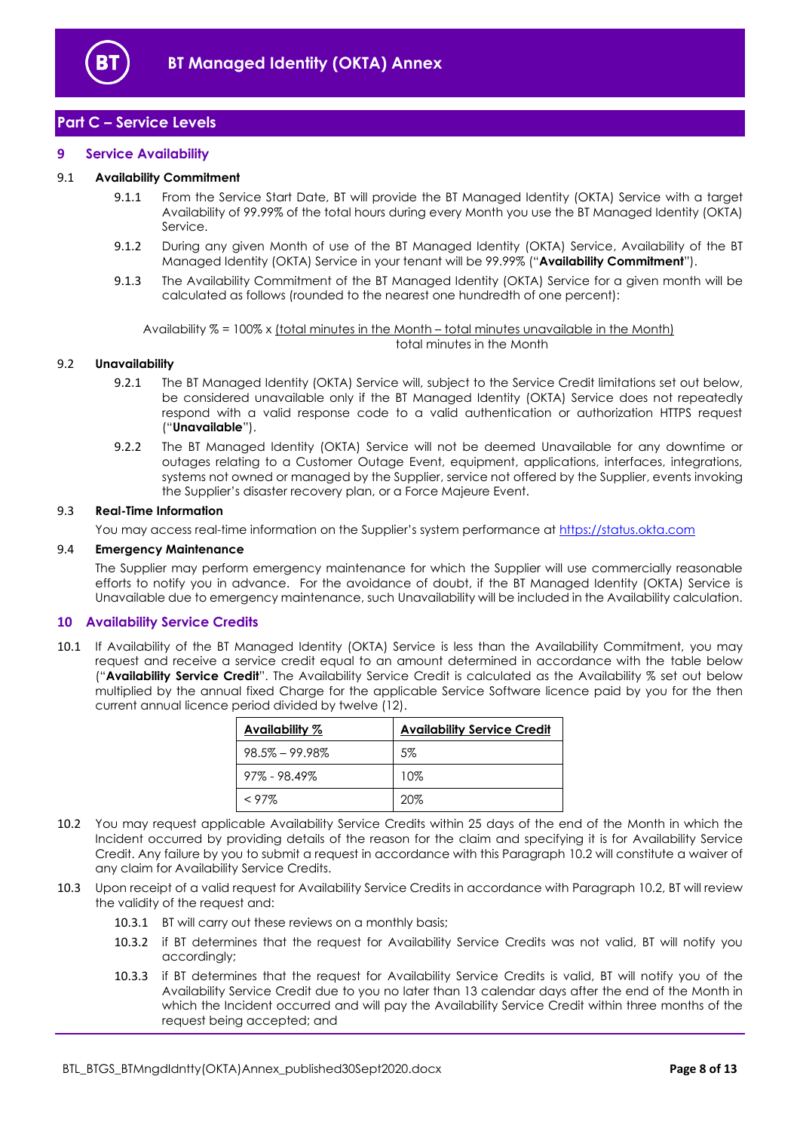

# <span id="page-7-0"></span>**Part C – Service Levels**

## <span id="page-7-1"></span>**9 Service Availability**

#### 9.1 **Availability Commitment**

- 9.1.1 From the Service Start Date, BT will provide the BT Managed Identity (OKTA) Service with a target Availability of 99.99% of the total hours during every Month you use the BT Managed Identity (OKTA) Service.
- 9.1.2 During any given Month of use of the BT Managed Identity (OKTA) Service, Availability of the BT Managed Identity (OKTA) Service in your tenant will be 99.99% ("**Availability Commitment**").
- 9.1.3 The Availability Commitment of the BT Managed Identity (OKTA) Service for a given month will be calculated as follows (rounded to the nearest one hundredth of one percent):

Availability % = 100% x (total minutes in the Month – total minutes unavailable in the Month) total minutes in the Month

#### <span id="page-7-5"></span>9.2 **Unavailability**

- 9.2.1 The BT Managed Identity (OKTA) Service will, subject to the Service Credit limitations set out below, be considered unavailable only if the BT Managed Identity (OKTA) Service does not repeatedly respond with a valid response code to a valid authentication or authorization HTTPS request ("**Unavailable**").
- 9.2.2 The BT Managed Identity (OKTA) Service will not be deemed Unavailable for any downtime or outages relating to a Customer Outage Event, equipment, applications, interfaces, integrations, systems not owned or managed by the Supplier, service not offered by the Supplier, events invoking the Supplier's disaster recovery plan, or a Force Majeure Event.

#### 9.3 **Real-Time Information**

You may access real-time information on the Supplier's system performance at [https://status.okta.com](http://www.okta.com/trust)

#### 9.4 **Emergency Maintenance**

The Supplier may perform emergency maintenance for which the Supplier will use commercially reasonable efforts to notify you in advance. For the avoidance of doubt, if the BT Managed Identity (OKTA) Service is Unavailable due to emergency maintenance, such Unavailability will be included in the Availability calculation.

#### <span id="page-7-2"></span>**10 Availability Service Credits**

<span id="page-7-4"></span>10.1 If Availability of the BT Managed Identity (OKTA) Service is less than the Availability Commitment, you may request and receive a service credit equal to an amount determined in accordance with the table below ("**Availability Service Credit**". The Availability Service Credit is calculated as the Availability % set out below multiplied by the annual fixed Charge for the applicable Service Software licence paid by you for the then current annual licence period divided by twelve (12).

| Availability %     | <b>Availability Service Credit</b> |  |
|--------------------|------------------------------------|--|
| $98.5\% - 99.98\%$ | 5%                                 |  |
| $97\% - 98.49\%$   | 10%                                |  |
| $<$ 97%            | 20%                                |  |

- <span id="page-7-3"></span>10.2 You may request applicable Availability Service Credits within 25 days of the end of the Month in which the Incident occurred by providing details of the reason for the claim and specifying it is for Availability Service Credit. Any failure by you to submit a request in accordance with this Paragraph [10.2](#page-7-3) will constitute a waiver of any claim for Availability Service Credits.
- 10.3 Upon receipt of a valid request for Availability Service Credits in accordance with Paragraph [10.2,](#page-7-3) BT will review the validity of the request and:
	- 10.3.1 BT will carry out these reviews on a monthly basis;
	- 10.3.2 if BT determines that the request for Availability Service Credits was not valid, BT will notify you accordingly;
	- 10.3.3 if BT determines that the request for Availability Service Credits is valid, BT will notify you of the Availability Service Credit due to you no later than 13 calendar days after the end of the Month in which the Incident occurred and will pay the Availability Service Credit within three months of the request being accepted; and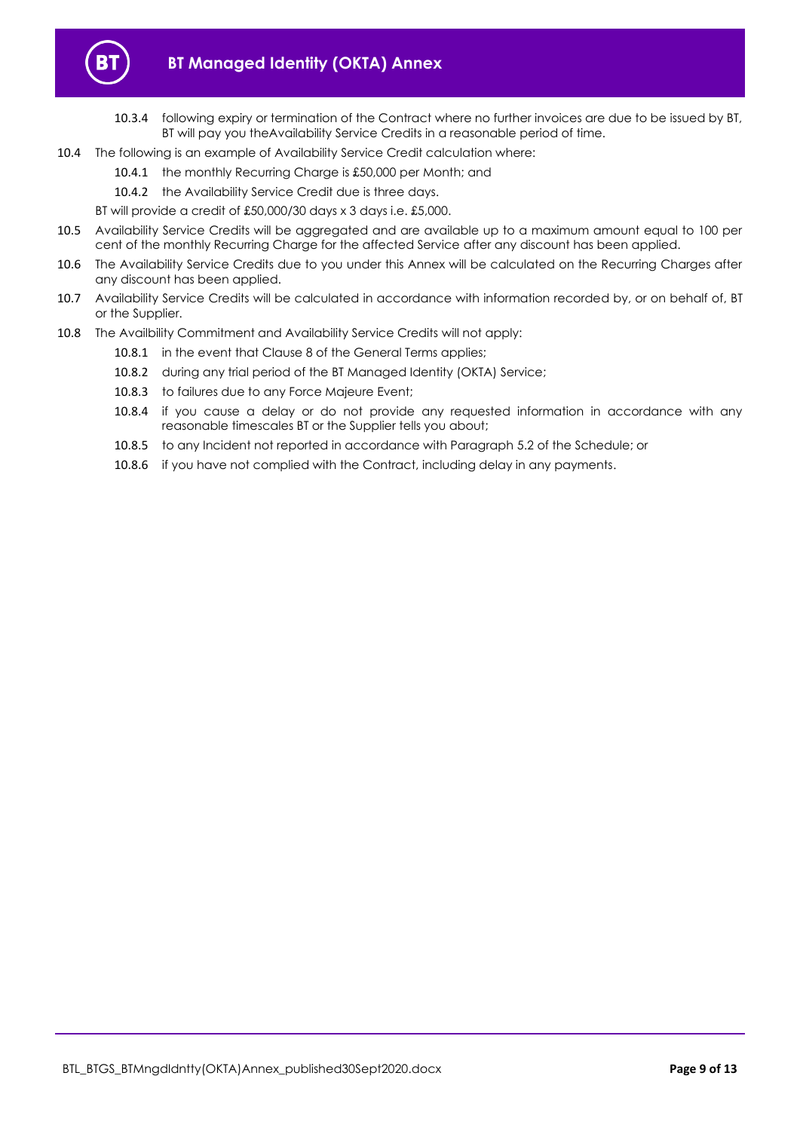

- 10.3.4 following expiry or termination of the Contract where no further invoices are due to be issued by BT, BT will pay you theAvailability Service Credits in a reasonable period of time.
- 10.4 The following is an example of Availability Service Credit calculation where:
	- 10.4.1 the monthly Recurring Charge is £50,000 per Month; and
	- 10.4.2 the Availability Service Credit due is three days.
	- BT will provide a credit of £50,000/30 days x 3 days i.e. £5,000.
- 10.5 Availability Service Credits will be aggregated and are available up to a maximum amount equal to 100 per cent of the monthly Recurring Charge for the affected Service after any discount has been applied.
- 10.6 The Availability Service Credits due to you under this Annex will be calculated on the Recurring Charges after any discount has been applied.
- 10.7 Availability Service Credits will be calculated in accordance with information recorded by, or on behalf of, BT or the Supplier.
- 10.8 The Availbility Commitment and Availability Service Credits will not apply:
	- 10.8.1 in the event that Clause 8 of the General Terms applies;
	- 10.8.2 during any trial period of the BT Managed Identity (OKTA) Service;
	- 10.8.3 to failures due to any Force Majeure Event;
	- 10.8.4 if you cause a delay or do not provide any requested information in accordance with any reasonable timescales BT or the Supplier tells you about;
	- 10.8.5 to any Incident not reported in accordance with Paragraph 5.2 of the Schedule; or
	- 10.8.6 if you have not complied with the Contract, including delay in any payments.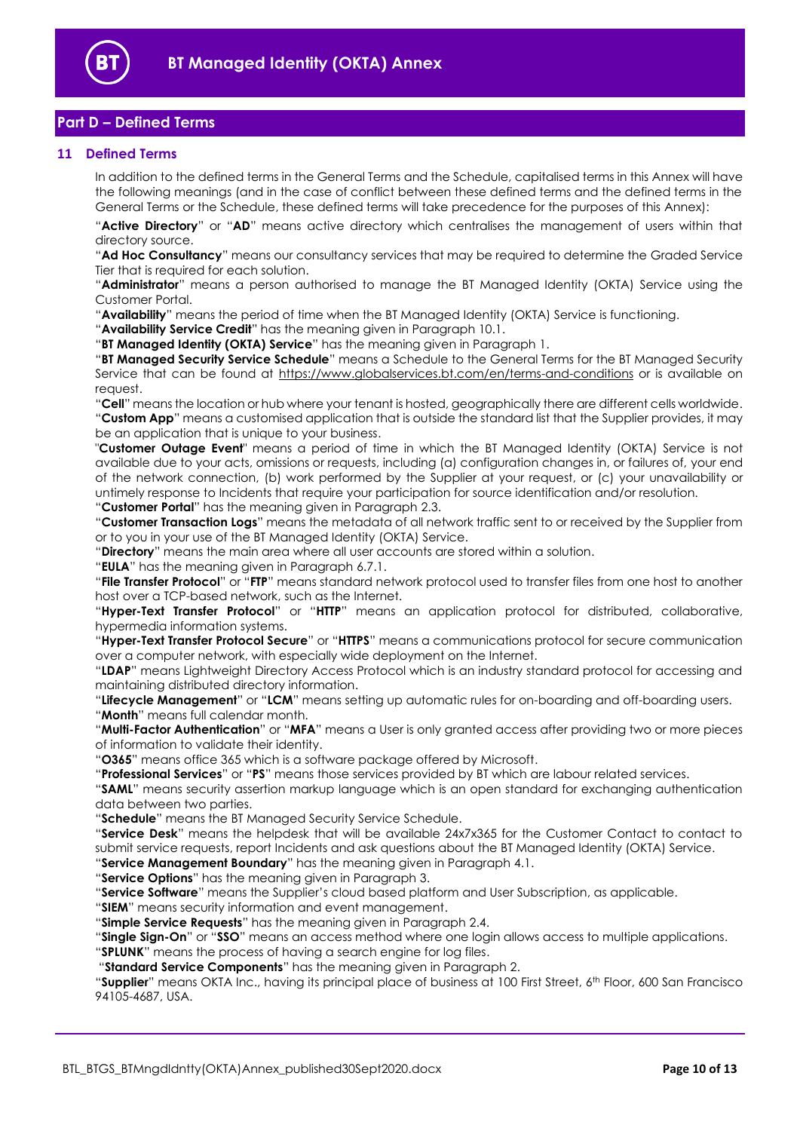

# <span id="page-9-0"></span>**Part D – Defined Terms**

## <span id="page-9-1"></span>**11 Defined Terms**

In addition to the defined terms in the General Terms and the Schedule, capitalised terms in this Annex will have the following meanings (and in the case of conflict between these defined terms and the defined terms in the General Terms or the Schedule, these defined terms will take precedence for the purposes of this Annex):

"**Active Directory**" or "**AD**" means active directory which centralises the management of users within that directory source.

"**Ad Hoc Consultancy**" means our consultancy services that may be required to determine the Graded Service Tier that is required for each solution.

"**Administrator**" means a person authorised to manage the BT Managed Identity (OKTA) Service using the Customer Portal.

"**Availability**" means the period of time when the BT Managed Identity (OKTA) Service is functioning.

"**Availability Service Credit**" has the meaning given in Paragraph [10.1.](#page-7-4)

"**BT Managed Identity (OKTA) Service**" has the meaning given in Paragraph [1.](#page-1-4)

"**BT Managed Security Service Schedule**" means a Schedule to the General Terms for the BT Managed Security Service that can be found at<https://www.globalservices.bt.com/en/terms-and-conditions> or is available on request.

"**Cell**" means the location or hub where your tenant is hosted, geographically there are different cells worldwide. "**Custom App**" means a customised application that is outside the standard list that the Supplier provides, it may be an application that is unique to your business.

"**Customer Outage Event**" means a period of time in which the BT Managed Identity (OKTA) Service is not available due to your acts, omissions or requests, including (a) configuration changes in, or failures of, your end of the network connection, (b) work performed by the Supplier at your request, or (c) your unavailability or untimely response to Incidents that require your participation for source identification and/or resolution. "**Customer Portal**" has the meaning given in Paragraph [2.3.](#page-1-7)

"**Customer Transaction Logs**" means the metadata of all network traffic sent to or received by the Supplier from or to you in your use of the BT Managed Identity (OKTA) Service.

"**Directory**" means the main area where all user accounts are stored within a solution.

"**EULA**" has the meaning given in Paragraph [6.7.1.](#page-3-2)

"**File Transfer Protocol**" or "**FTP**" means standard network protocol used to transfer files from one host to another host over a TCP-based network, such as the Internet.

"**Hyper-Text Transfer Protocol**" or "**HTTP**" means an application protocol for distributed, collaborative, hypermedia information systems.

"**Hyper-Text Transfer Protocol Secure**" or "**HTTPS**" means a communications protocol for secure communication over a computer network, with especially wide deployment on the Internet.

"**LDAP**" means Lightweight Directory Access Protocol which is an industry standard protocol for accessing and maintaining distributed directory information.

"**Lifecycle Management**" or "**LCM**" means setting up automatic rules for on-boarding and off-boarding users. "**Month**" means full calendar month.

"**Multi-Factor Authentication**" or "**MFA**" means a User is only granted access after providing two or more pieces of information to validate their identity.

"**O365**" means office 365 which is a software package offered by Microsoft.

"**Professional Services**" or "**PS**" means those services provided by BT which are labour related services.

"**SAML**" means security assertion markup language which is an open standard for exchanging authentication data between two parties.

"**Schedule**" means the BT Managed Security Service Schedule.

"**Service Desk**" means the helpdesk that will be available 24x7x365 for the Customer Contact to contact to submit service requests, report Incidents and ask questions about the BT Managed Identity (OKTA) Service. "**Service Management Boundary**" has the meaning given in Paragrap[h 4.1.](#page-2-3)

"**Service Options**" has the meaning given in Paragraph [3.](#page-1-6)

"**Service Software**" means the Supplier's cloud based platform and User Subscription, as applicable.

"**SIEM**" means security information and event management.

"**Simple Service Requests**" has the meaning given in Paragraph [2.4.](#page-1-8)

"**Single Sign-On**" or "**SSO**" means an access method where one login allows access to multiple applications.

"**SPLUNK**" means the process of having a search engine for log files.

"**Standard Service Components**" has the meaning given in Paragrap[h 2.](#page-1-5)

"**Supplier**" means OKTA Inc., having its principal place of business at 100 First Street, 6th Floor, 600 San Francisco 94105-4687, USA.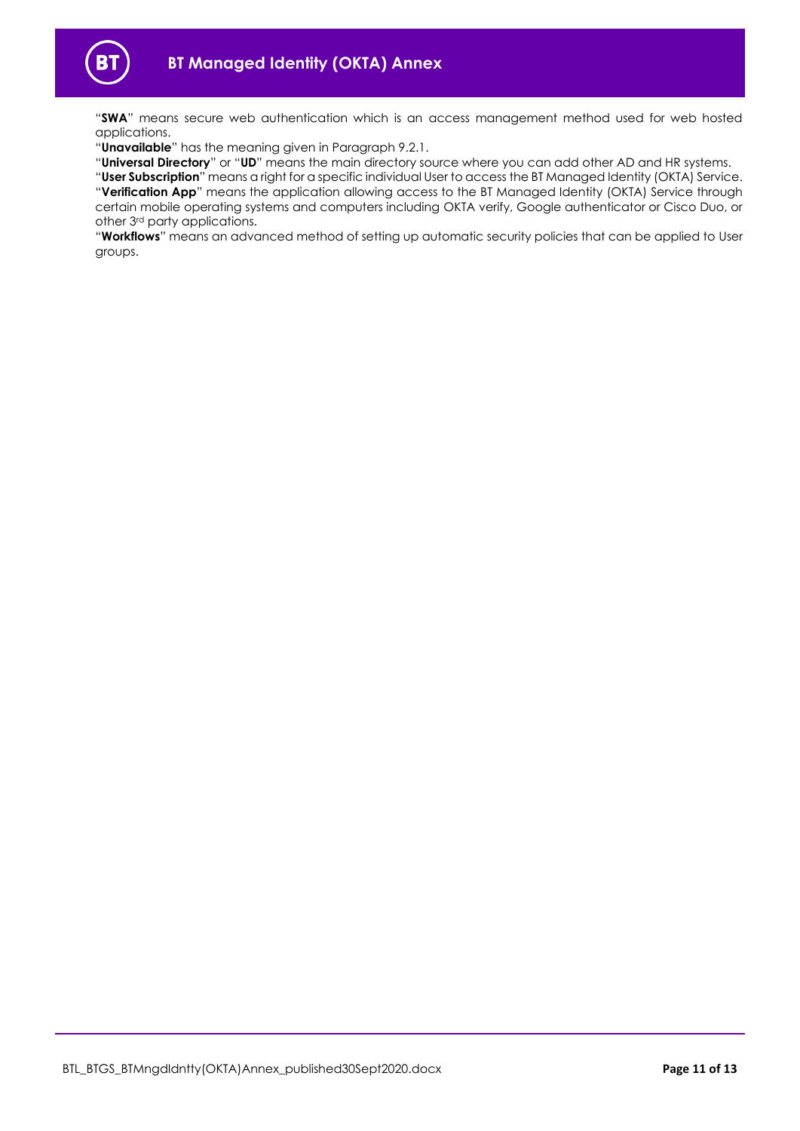

"**SWA**" means secure web authentication which is an access management method used for web hosted applications.

"**Unavailable**" has the meaning given in Paragraph [9.2.1.](#page-7-5)

"**Universal Directory**" or "**UD**" means the main directory source where you can add other AD and HR systems.

"**User Subscription**" means a right for a specific individual User to access the BT Managed Identity (OKTA) Service. "**Verification App**" means the application allowing access to the BT Managed Identity (OKTA) Service through certain mobile operating systems and computers including OKTA verify, Google authenticator or Cisco Duo, or other 3rd party applications.

"**Workflows**" means an advanced method of setting up automatic security policies that can be applied to User groups.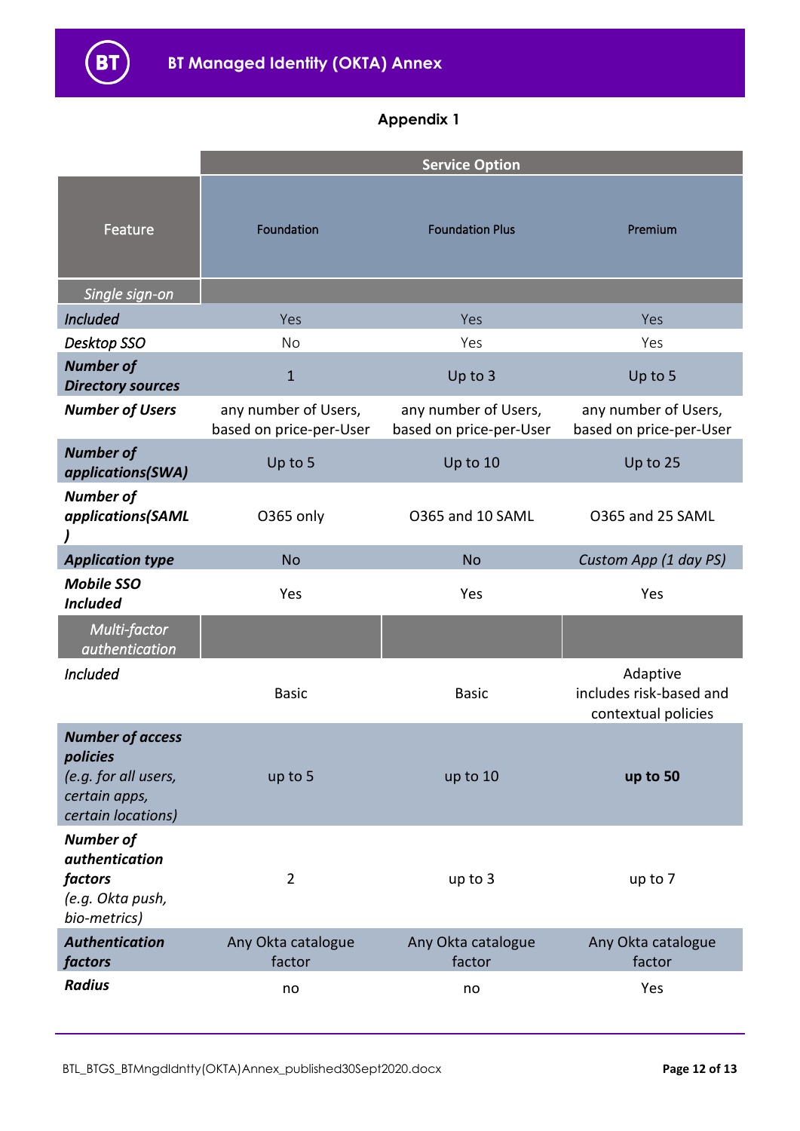# **Appendix 1**

|                                                                                                    | <b>Service Option</b>                           |                                                 |                                                            |  |
|----------------------------------------------------------------------------------------------------|-------------------------------------------------|-------------------------------------------------|------------------------------------------------------------|--|
| Feature                                                                                            | Foundation                                      | <b>Foundation Plus</b>                          | Premium                                                    |  |
| Single sign-on                                                                                     |                                                 |                                                 |                                                            |  |
| <b>Included</b>                                                                                    | Yes                                             | Yes                                             | Yes                                                        |  |
| Desktop SSO                                                                                        | <b>No</b>                                       | Yes                                             | Yes                                                        |  |
| <b>Number of</b><br><b>Directory sources</b>                                                       | $\mathbf{1}$                                    | Up to 3                                         | Up to 5                                                    |  |
| <b>Number of Users</b>                                                                             | any number of Users,<br>based on price-per-User | any number of Users,<br>based on price-per-User | any number of Users,<br>based on price-per-User            |  |
| <b>Number of</b><br>applications(SWA)                                                              | Up to 5                                         | Up to 10                                        | Up to 25                                                   |  |
| <b>Number of</b><br>applications(SAML                                                              | O365 only                                       | O365 and 10 SAML                                | O365 and 25 SAML                                           |  |
| <b>Application type</b>                                                                            | <b>No</b>                                       | <b>No</b>                                       | Custom App (1 day PS)                                      |  |
| <b>Mobile SSO</b><br><b>Included</b>                                                               | Yes                                             | Yes                                             | Yes                                                        |  |
| Multi-factor<br><i>authentication</i>                                                              |                                                 |                                                 |                                                            |  |
| <b>Included</b>                                                                                    | <b>Basic</b>                                    | <b>Basic</b>                                    | Adaptive<br>includes risk-based and<br>contextual policies |  |
| <b>Number of access</b><br>policies<br>(e.g. for all users,<br>certain apps,<br>certain locations) | up to 5                                         | up to 10                                        | up to 50                                                   |  |
| <b>Number of</b><br>authentication<br>factors<br>(e.g. Okta push,<br>bio-metrics)                  | $\overline{2}$                                  | up to 3                                         | up to 7                                                    |  |
| <b>Authentication</b><br>factors                                                                   | Any Okta catalogue<br>factor                    | Any Okta catalogue<br>factor                    | Any Okta catalogue<br>factor                               |  |
| <b>Radius</b>                                                                                      | no                                              | no                                              | Yes                                                        |  |